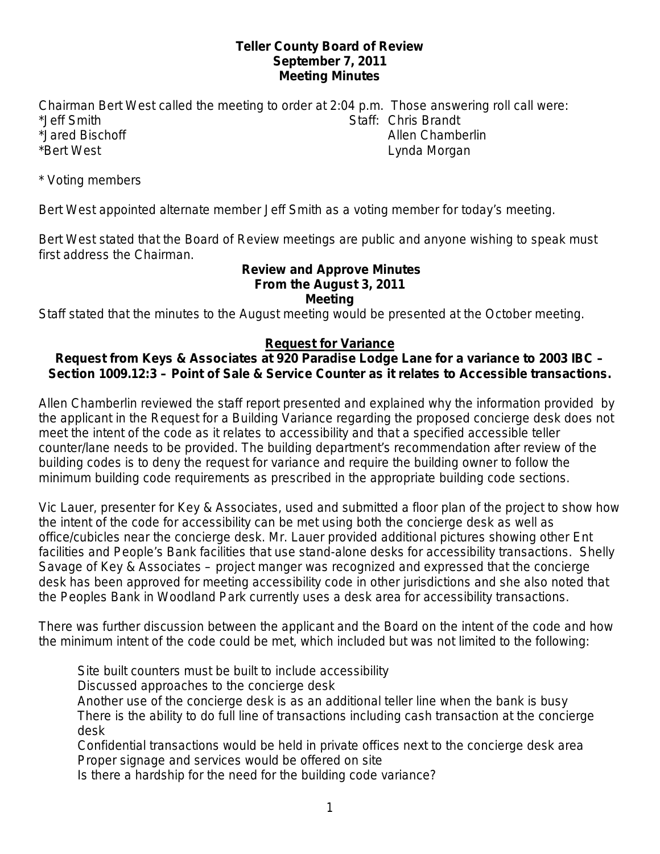### **Teller County Board of Review September 7, 2011 Meeting Minutes**

Chairman Bert West called the meeting to order at 2:04 p.m. Those answering roll call were: \*Jeff Smith Staff: Chris Brandt \*Jared Bischoff Allen Chamberlin \*Bert West Lynda Morgan

\* Voting members

Bert West appointed alternate member Jeff Smith as a voting member for today's meeting.

Bert West stated that the Board of Review meetings are public and anyone wishing to speak must first address the Chairman.

#### **Review and Approve Minutes From the August 3, 2011 Meeting**

Staff stated that the minutes to the August meeting would be presented at the October meeting.

## **Request for Variance**

## **Request from Keys & Associates at 920 Paradise Lodge Lane for a variance to 2003 IBC – Section 1009.12:3 – Point of Sale & Service Counter as it relates to Accessible transactions.**

Allen Chamberlin reviewed the staff report presented and explained why the information provided by the applicant in the Request for a Building Variance regarding the proposed concierge desk does not meet the intent of the code as it relates to accessibility and that a specified accessible teller counter/lane needs to be provided. The building department's recommendation after review of the building codes is to deny the request for variance and require the building owner to follow the minimum building code requirements as prescribed in the appropriate building code sections.

Vic Lauer, presenter for Key & Associates, used and submitted a floor plan of the project to show how the intent of the code for accessibility can be met using both the concierge desk as well as office/cubicles near the concierge desk. Mr. Lauer provided additional pictures showing other Ent facilities and People's Bank facilities that use stand-alone desks for accessibility transactions. Shelly Savage of Key & Associates – project manger was recognized and expressed that the concierge desk has been approved for meeting accessibility code in other jurisdictions and she also noted that the Peoples Bank in Woodland Park currently uses a desk area for accessibility transactions.

There was further discussion between the applicant and the Board on the intent of the code and how the minimum intent of the code could be met, which included but was not limited to the following:

Site built counters must be built to include accessibility

Discussed approaches to the concierge desk

Another use of the concierge desk is as an additional teller line when the bank is busy There is the ability to do full line of transactions including cash transaction at the concierge desk

Confidential transactions would be held in private offices next to the concierge desk area Proper signage and services would be offered on site

Is there a hardship for the need for the building code variance?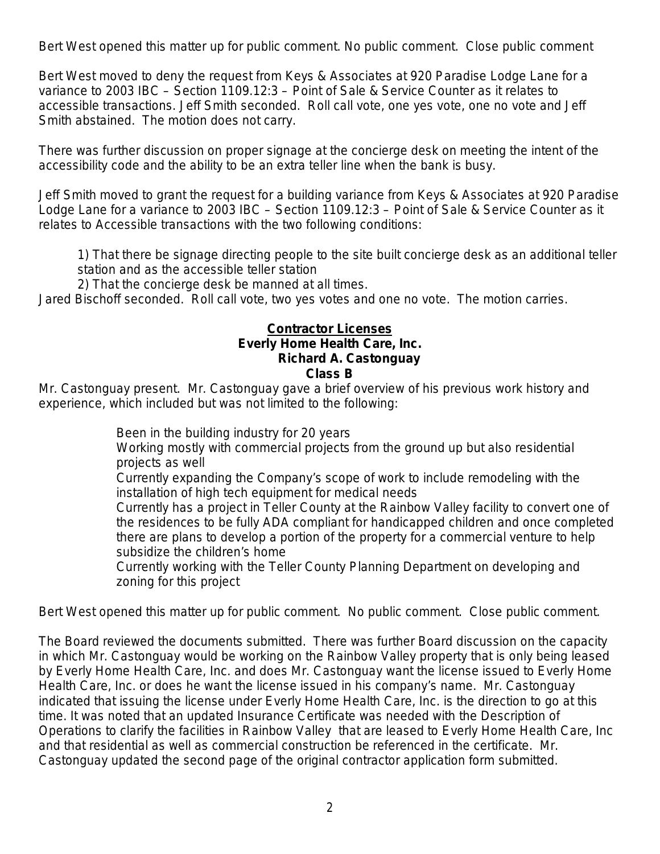Bert West opened this matter up for public comment. No public comment. Close public comment

Bert West moved to deny the request from Keys & Associates at 920 Paradise Lodge Lane for a variance to 2003 IBC – Section 1109.12:3 – Point of Sale & Service Counter as it relates to accessible transactions. Jeff Smith seconded. Roll call vote, one yes vote, one no vote and Jeff Smith abstained. The motion does not carry.

There was further discussion on proper signage at the concierge desk on meeting the intent of the accessibility code and the ability to be an extra teller line when the bank is busy.

Jeff Smith moved to grant the request for a building variance from Keys & Associates at 920 Paradise Lodge Lane for a variance to 2003 IBC – Section 1109.12:3 – Point of Sale & Service Counter as it relates to Accessible transactions with the two following conditions:

1) That there be signage directing people to the site built concierge desk as an additional teller station and as the accessible teller station

2) That the concierge desk be manned at all times.

Jared Bischoff seconded. Roll call vote, two yes votes and one no vote. The motion carries.

#### **Contractor Licenses Everly Home Health Care, Inc. Richard A. Castonguay Class B**

Mr. Castonguay present. Mr. Castonguay gave a brief overview of his previous work history and experience, which included but was not limited to the following:

Been in the building industry for 20 years

Working mostly with commercial projects from the ground up but also residential projects as well

Currently expanding the Company's scope of work to include remodeling with the installation of high tech equipment for medical needs

Currently has a project in Teller County at the Rainbow Valley facility to convert one of the residences to be fully ADA compliant for handicapped children and once completed there are plans to develop a portion of the property for a commercial venture to help subsidize the children's home

Currently working with the Teller County Planning Department on developing and zoning for this project

Bert West opened this matter up for public comment. No public comment. Close public comment.

The Board reviewed the documents submitted. There was further Board discussion on the capacity in which Mr. Castonguay would be working on the Rainbow Valley property that is only being leased by Everly Home Health Care, Inc. and does Mr. Castonguay want the license issued to Everly Home Health Care, Inc. or does he want the license issued in his company's name. Mr. Castonguay indicated that issuing the license under Everly Home Health Care, Inc. is the direction to go at this time. It was noted that an updated Insurance Certificate was needed with the Description of Operations to clarify the facilities in Rainbow Valley that are leased to Everly Home Health Care, Inc and that residential as well as commercial construction be referenced in the certificate. Mr. Castonguay updated the second page of the original contractor application form submitted.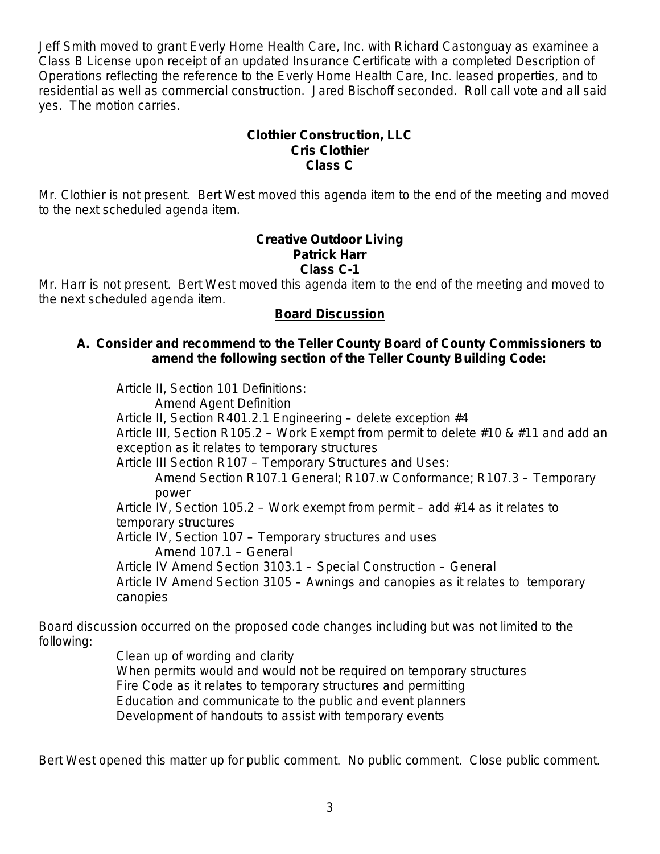Jeff Smith moved to grant Everly Home Health Care, Inc. with Richard Castonguay as examinee a Class B License upon receipt of an updated Insurance Certificate with a completed Description of Operations reflecting the reference to the Everly Home Health Care, Inc. leased properties, and to residential as well as commercial construction. Jared Bischoff seconded. Roll call vote and all said yes. The motion carries.

## **Clothier Construction, LLC Cris Clothier Class C**

Mr. Clothier is not present. Bert West moved this agenda item to the end of the meeting and moved to the next scheduled agenda item.

#### **Creative Outdoor Living Patrick Harr Class C-1**

Mr. Harr is not present. Bert West moved this agenda item to the end of the meeting and moved to the next scheduled agenda item.

## **Board Discussion**

### **A. Consider and recommend to the Teller County Board of County Commissioners to amend the following section of the Teller County Building Code:**

Article II, Section 101 Definitions: Amend Agent Definition Article II, Section R401.2.1 Engineering – delete exception #4 Article III, Section R105.2 – Work Exempt from permit to delete #10 & #11 and add an exception as it relates to temporary structures Article III Section R107 – Temporary Structures and Uses: Amend Section R107.1 General; R107.w Conformance; R107.3 – Temporary power Article IV, Section 105.2 – Work exempt from permit – add #14 as it relates to temporary structures Article IV, Section 107 – Temporary structures and uses Amend 107.1 – General Article IV Amend Section 3103.1 – Special Construction – General Article IV Amend Section 3105 – Awnings and canopies as it relates to temporary canopies

Board discussion occurred on the proposed code changes including but was not limited to the following:

Clean up of wording and clarity When permits would and would not be required on temporary structures Fire Code as it relates to temporary structures and permitting Education and communicate to the public and event planners Development of handouts to assist with temporary events

Bert West opened this matter up for public comment. No public comment. Close public comment.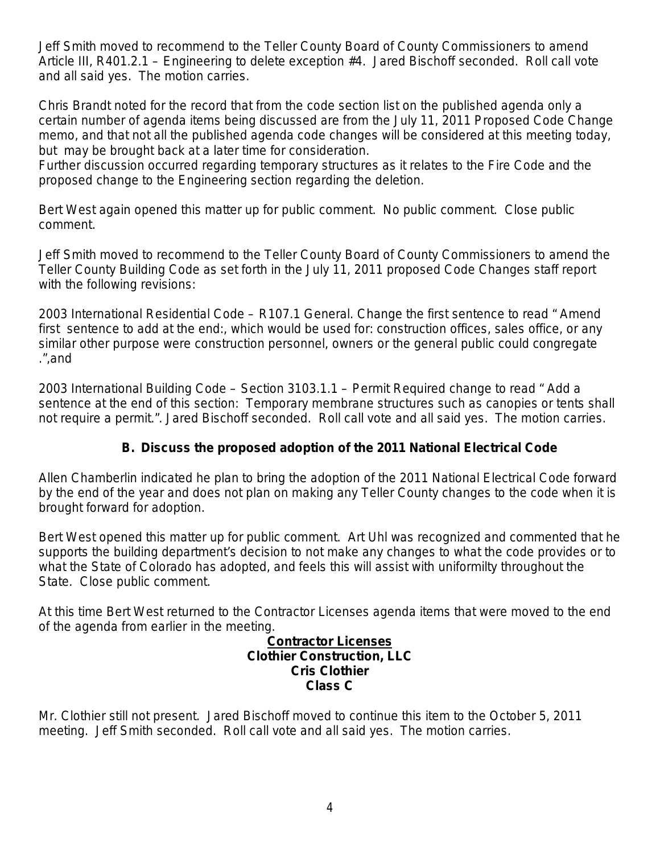Jeff Smith moved to recommend to the Teller County Board of County Commissioners to amend Article III, R401.2.1 – Engineering to delete exception #4. Jared Bischoff seconded. Roll call vote and all said yes. The motion carries.

Chris Brandt noted for the record that from the code section list on the published agenda only a certain number of agenda items being discussed are from the July 11, 2011 Proposed Code Change memo, and that not all the published agenda code changes will be considered at this meeting today, but may be brought back at a later time for consideration.

Further discussion occurred regarding temporary structures as it relates to the Fire Code and the proposed change to the Engineering section regarding the deletion.

Bert West again opened this matter up for public comment. No public comment. Close public comment.

Jeff Smith moved to recommend to the Teller County Board of County Commissioners to amend the Teller County Building Code as set forth in the July 11, 2011 proposed Code Changes staff report with the following revisions:

2003 International Residential Code – R107.1 General. Change the first sentence to read " Amend first sentence to add at the end:, which would be used for: construction offices, sales office, or any similar other purpose were construction personnel, owners or the general public could congregate .",and

2003 International Building Code – Section 3103.1.1 – Permit Required change to read " Add a sentence at the end of this section: Temporary membrane structures such as canopies or tents shall not require a permit.". Jared Bischoff seconded. Roll call vote and all said yes. The motion carries.

# **B. Discuss the proposed adoption of the 2011 National Electrical Code**

Allen Chamberlin indicated he plan to bring the adoption of the 2011 National Electrical Code forward by the end of the year and does not plan on making any Teller County changes to the code when it is brought forward for adoption.

Bert West opened this matter up for public comment. Art Uhl was recognized and commented that he supports the building department's decision to not make any changes to what the code provides or to what the State of Colorado has adopted, and feels this will assist with uniformilty throughout the State. Close public comment.

At this time Bert West returned to the Contractor Licenses agenda items that were moved to the end of the agenda from earlier in the meeting.

> **Contractor Licenses Clothier Construction, LLC Cris Clothier Class C**

Mr. Clothier still not present. Jared Bischoff moved to continue this item to the October 5, 2011 meeting. Jeff Smith seconded. Roll call vote and all said yes. The motion carries.